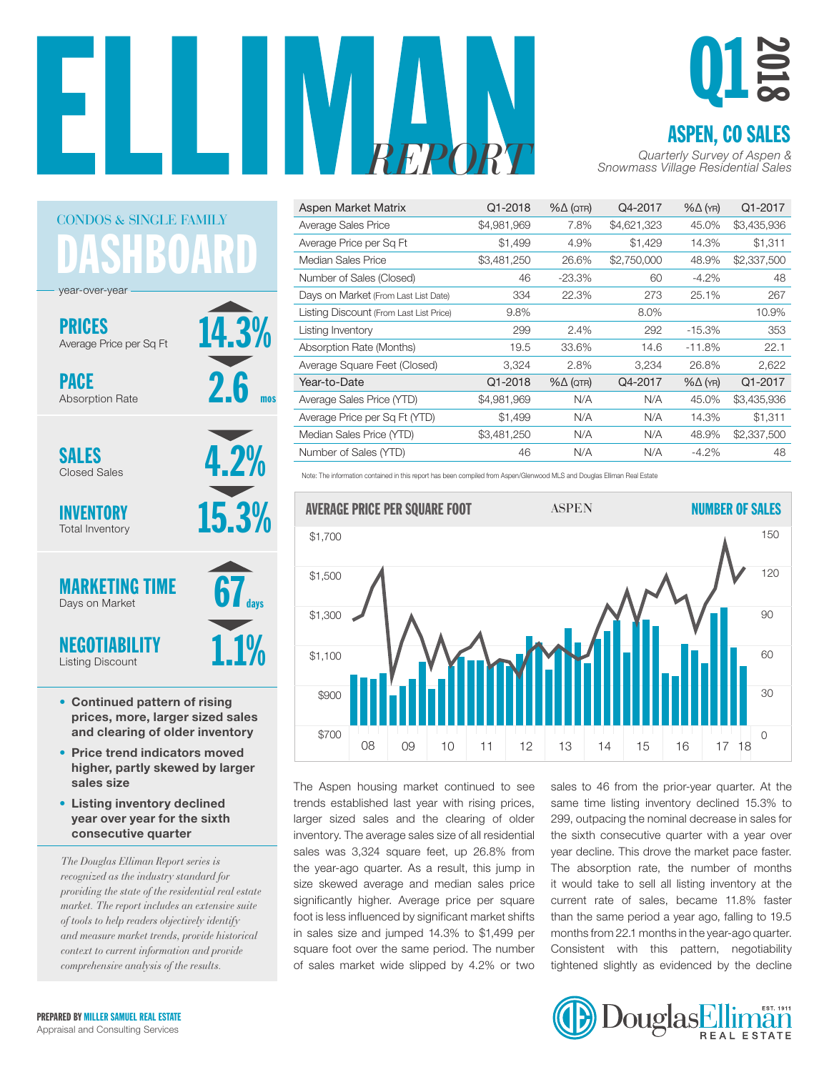

14.3%

2.6

mos

4.2%

days



| Aspen Market Matrix                     | Q1-2018     | $% \triangle (QTR)$ | Q4-2017     | $% \triangle (YR)$ | Q1-2017     |
|-----------------------------------------|-------------|---------------------|-------------|--------------------|-------------|
| Average Sales Price                     | \$4,981,969 | 7.8%                | \$4,621,323 | 45.0%              | \$3,435,936 |
| Average Price per Sq Ft                 | \$1,499     | 4.9%                | \$1,429     | 14.3%              | \$1,311     |
| Median Sales Price                      | \$3,481,250 | 26.6%               | \$2,750,000 | 48.9%              | \$2,337,500 |
| Number of Sales (Closed)                | 46          | $-23.3\%$           | 60          | $-4.2%$            | 48          |
| Days on Market (From Last List Date)    | 334         | 22.3%               | 273         | 25.1%              | 267         |
| Listing Discount (From Last List Price) | 9.8%        |                     | 8.0%        |                    | 10.9%       |
| Listing Inventory                       | 299         | 2.4%                | 292         | $-15.3%$           | 353         |
| Absorption Rate (Months)                | 19.5        | 33.6%               | 14.6        | $-11.8%$           | 22.1        |
| Average Square Feet (Closed)            | 3,324       | 2.8%                | 3,234       | 26.8%              | 2,622       |
| Year-to-Date                            | Q1-2018     | $% \triangle (QTR)$ | Q4-2017     | $% \triangle (YR)$ | Q1-2017     |
| Average Sales Price (YTD)               | \$4,981,969 | N/A                 | N/A         | 45.0%              | \$3,435,936 |
| Average Price per Sq Ft (YTD)           | \$1,499     | N/A                 | N/A         | 14.3%              | \$1,311     |
| Median Sales Price (YTD)                | \$3,481,250 | N/A                 | N/A         | 48.9%              | \$2,337,500 |
| Number of Sales (YTD)                   | 46          | N/A                 | N/A         | $-4.2%$            | 48          |

Note: The information contained in this report has been compiled from Aspen/Glenwood MLS and Douglas Elliman Real Estate



The Aspen housing market continued to see trends established last year with rising prices, larger sized sales and the clearing of older inventory. The average sales size of all residential sales was 3,324 square feet, up 26.8% from the year-ago quarter. As a result, this jump in size skewed average and median sales price significantly higher. Average price per square foot is less influenced by significant market shifts in sales size and jumped 14.3% to \$1,499 per square foot over the same period. The number of sales market wide slipped by 4.2% or two

sales to 46 from the prior-year quarter. At the same time listing inventory declined 15.3% to 299, outpacing the nominal decrease in sales for the sixth consecutive quarter with a year over year decline. This drove the market pace faster. e year-ago quarter. As a result, this jump in The absorption rate, the number of months it would take to sell all listing inventory at the current rate of sales, became 11.8% faster than the same period a year ago, falling to 19.5 months from 22.1 months in the year-ago quarter. Consistent with this pattern, negotiability tightened slightly as evidenced by the decline



ASHBOAR CONDOS & SINGLE FAMILY

year-over-year

PRICES Average Price per Sq Ft

PACE Absorption Rate

**SALES** Closed Sales

INVENTORY Total Inventory



- Continued pattern of rising prices, more, larger sized sales and clearing of older inventory
- Price trend indicators moved higher, partly skewed by larger sales size
- Listing inventory declined year over year for the sixth consecutive quarter

*The Douglas Elliman Report series is recognized as the industry standard for providing the state of the residential real estate market. The report includes an extensive suite of tools to help readers objectively identify and measure market trends, provide historical context to current information and provide comprehensive analysis of the results.*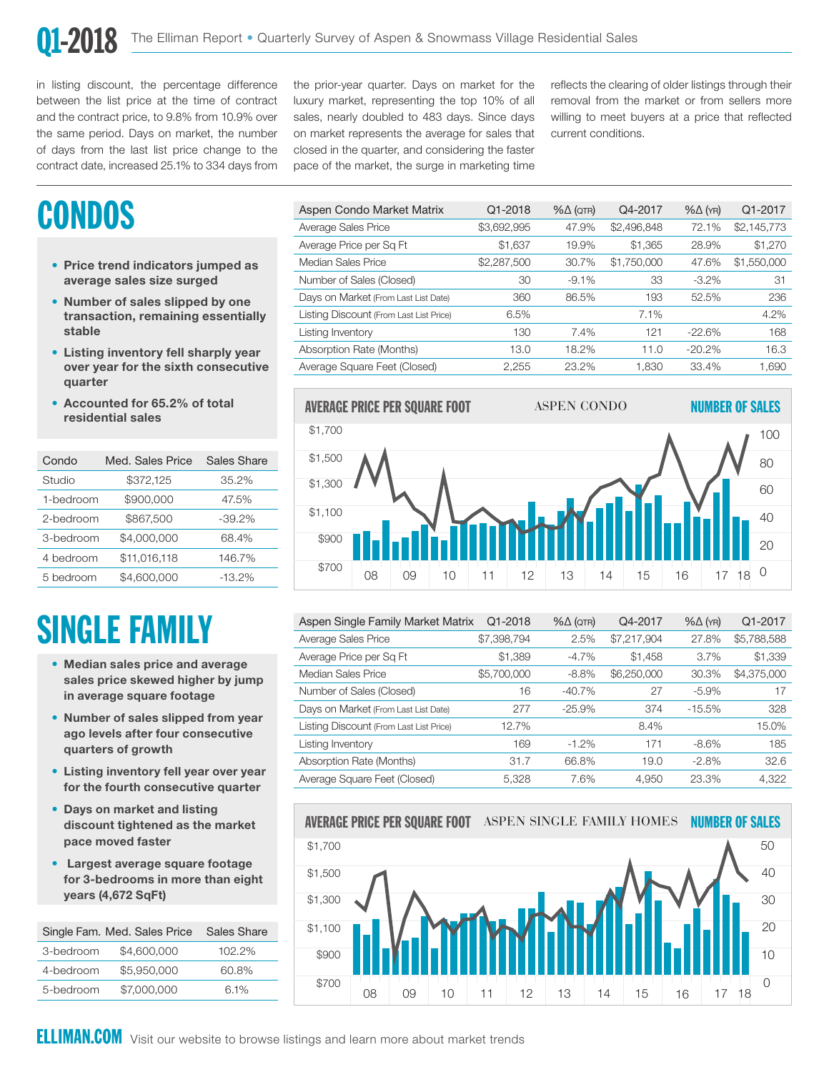in listing discount, the percentage difference between the list price at the time of contract and the contract price, to 9.8% from 10.9% over the same period. Days on market, the number of days from the last list price change to the contract date, increased 25.1% to 334 days from

the prior-year quarter. Days on market for the luxury market, representing the top 10% of all sales, nearly doubled to 483 days. Since days on market represents the average for sales that closed in the quarter, and considering the faster pace of the market, the surge in marketing time

reflects the clearing of older listings through their removal from the market or from sellers more willing to meet buyers at a price that reflected current conditions.

## **CONDOS**

- Price trend indicators jumped as average sales size surged
- Number of sales slipped by one transaction, remaining essentially stable
- Listing inventory fell sharply year over year for the sixth consecutive quarter
- Accounted for 65.2% of total residential sales

| Condo     | Med. Sales Price | Sales Share |
|-----------|------------------|-------------|
| Studio    | \$372,125        | 35.2%       |
| 1-bedroom | \$900,000        | 47.5%       |
| 2-bedroom | \$867,500        | $-39.2%$    |
| 3-bedroom | \$4,000,000      | 68.4%       |
| 4 bedroom | \$11,016,118     | 146.7%      |
| 5 bedroom | \$4,600,000      | $-13.2%$    |

# SINGLE FAMILY

- Median sales price and average sales price skewed higher by jump in average square footage
- Number of sales slipped from year ago levels after four consecutive quarters of growth
- Listing inventory fell year over year for the fourth consecutive quarter
- Days on market and listing discount tightened as the market pace moved faster
- Largest average square footage for 3-bedrooms in more than eight years (4,672 SqFt)

|           | Single Fam. Med. Sales Price | Sales Share |
|-----------|------------------------------|-------------|
| 3-bedroom | \$4,600,000                  | $102.2\%$   |
| 4-bedroom | \$5,950,000                  | 60.8%       |
| 5-bedroom | \$7,000,000                  | $6.1\%$     |

| Aspen Condo Market Matrix               | Q1-2018     | $% \triangle (QTR)$ | Q4-2017     | $% \triangle (YR)$ | Q1-2017     |
|-----------------------------------------|-------------|---------------------|-------------|--------------------|-------------|
| Average Sales Price                     | \$3,692,995 | 47.9%               | \$2,496,848 | 72.1%              | \$2,145,773 |
| Average Price per Sq Ft                 | \$1,637     | 19.9%               | \$1,365     | 28.9%              | \$1,270     |
| Median Sales Price                      | \$2,287,500 | 30.7%               | \$1,750,000 | 47.6%              | \$1,550,000 |
| Number of Sales (Closed)                | 30          | $-9.1%$             | 33          | $-3.2\%$           | 31          |
| Days on Market (From Last List Date)    | 360         | 86.5%               | 193         | 52.5%              | 236         |
| Listing Discount (From Last List Price) | 6.5%        |                     | 7.1%        |                    | 4.2%        |
| Listing Inventory                       | 130         | 7.4%                | 121         | $-22.6%$           | 168         |
| Absorption Rate (Months)                | 13.0        | 18.2%               | 11.0        | $-20.2%$           | 16.3        |
| Average Square Feet (Closed)            | 2.255       | 23.2%               | 1.830       | 33.4%              | 1,690       |
|                                         |             |                     |             |                    |             |



| Aspen Single Family Market Matrix       | Q1-2018     | $% \triangle (QTR)$ | Q4-2017     | $% \triangle (YR)$ | Q1-2017     |
|-----------------------------------------|-------------|---------------------|-------------|--------------------|-------------|
| Average Sales Price                     | \$7,398,794 | 2.5%                | \$7,217,904 | 27.8%              | \$5,788,588 |
| Average Price per Sq Ft                 | \$1,389     | $-4.7%$             | \$1,458     | 3.7%               | \$1,339     |
| Median Sales Price                      | \$5,700,000 | $-8.8\%$            | \$6,250,000 | 30.3%              | \$4,375,000 |
| Number of Sales (Closed)                | 16          | $-40.7%$            | 27          | $-5.9%$            | 17          |
| Days on Market (From Last List Date)    | 277         | $-25.9%$            | 374         | $-15.5%$           | 328         |
| Listing Discount (From Last List Price) | 12.7%       |                     | 8.4%        |                    | 15.0%       |
| Listing Inventory                       | 169         | $-1.2\%$            | 171         | $-8.6%$            | 185         |
| Absorption Rate (Months)                | 31.7        | 66.8%               | 19.0        | $-2.8%$            | 32.6        |
| Average Square Feet (Closed)            | 5.328       | 7.6%                | 4.950       | 23.3%              | 4,322       |



.<br>Visit our website to browse listings and learn more about market trends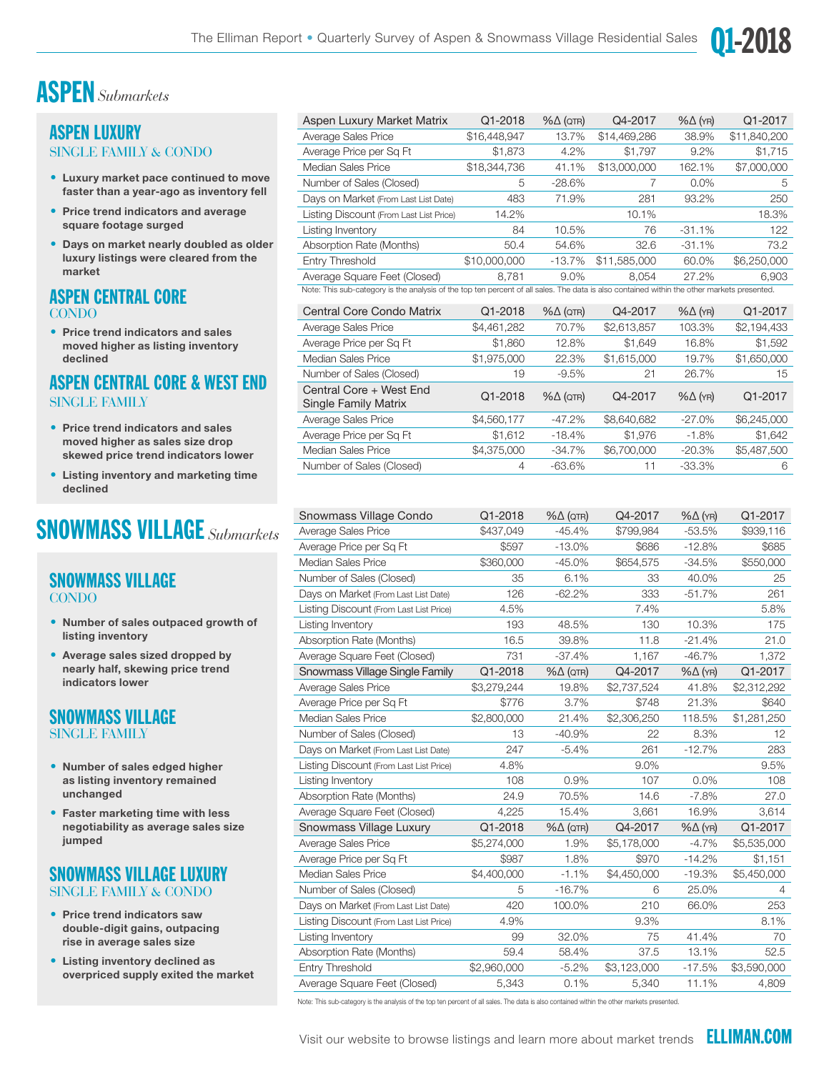

### ASPEN *Submarkets*

### ASPEN LUXURY SINGLE FAMILY & CONDO

- Luxury market pace continued to move faster than a year-ago as inventory fell
- Price trend indicators and average square footage surged
- Days on market nearly doubled as older luxury listings were cleared from the market

### ASPEN CENTRAL CORE CONDO

• Price trend indicators and sales moved higher as listing inventory declined

### ASPEN CENTRAL CORE & WEST END SINGLE FAMILY

- Price trend indicators and sales moved higher as sales size drop skewed price trend indicators lower
- Listing inventory and marketing time declined

## SNOWMASS VILLAGE *Submarkets*

#### SNOWMASS VILLAGE **CONDO**

- Number of sales outpaced growth of listing inventory
- Average sales sized dropped by nearly half, skewing price trend indicators lower

### SNOWMASS VILLAGE SINGLE FAMILY

- Number of sales edged higher as listing inventory remained unchanged
- Faster marketing time with less negotiability as average sales size jumped

### SNOWMASS VILLAGE LUXURY SINGLE FAMILY & CONDO

- Price trend indicators saw double-digit gains, outpacing rise in average sales size
- Listing inventory declined as overpriced supply exited the market

| Aspen Luxury Market Matrix                                                                                                                  | Q1-2018      | $% \triangle (QTR)$ | Q4-2017      | $% \triangle (YR)$ | Q1-2017      |  |  |
|---------------------------------------------------------------------------------------------------------------------------------------------|--------------|---------------------|--------------|--------------------|--------------|--|--|
| Average Sales Price                                                                                                                         | \$16,448,947 | 13.7%               | \$14,469,286 | 38.9%              | \$11,840,200 |  |  |
| Average Price per Sq Ft                                                                                                                     | \$1,873      | 4.2%                | \$1.797      | 9.2%               | \$1,715      |  |  |
| Median Sales Price                                                                                                                          | \$18,344,736 | 41.1%               | \$13,000,000 | 162.1%             | \$7,000,000  |  |  |
| Number of Sales (Closed)                                                                                                                    | 5            | $-28.6\%$           |              | $0.0\%$            | 5            |  |  |
| Days on Market (From Last List Date)                                                                                                        | 483          | 71.9%               | 281          | 93.2%              | 250          |  |  |
| Listing Discount (From Last List Price)                                                                                                     | 14.2%        |                     | 10.1%        |                    | 18.3%        |  |  |
| Listing Inventory                                                                                                                           | 84           | 10.5%               | 76           | $-31.1%$           | 122          |  |  |
| Absorption Rate (Months)                                                                                                                    | 50.4         | 54.6%               | 32.6         | $-31.1%$           | 73.2         |  |  |
| Entry Threshold                                                                                                                             | \$10,000,000 | $-13.7%$            | \$11,585,000 | 60.0%              | \$6,250,000  |  |  |
| Average Square Feet (Closed)                                                                                                                | 8.781        | 9.0%                | 8.054        | 27.2%              | 6.903        |  |  |
| Note: This sub-category is the analysis of the top ten percent of all sales. The data is also contained within the other markets presented. |              |                     |              |                    |              |  |  |

| <b>Central Core Condo Matrix</b>                       | Q1-2018     | $% \triangle (QTR)$ | Q4-2017     | $% \triangle (YR)$ | Q1-2017     |
|--------------------------------------------------------|-------------|---------------------|-------------|--------------------|-------------|
| Average Sales Price                                    | \$4,461,282 | 70.7%               | \$2,613,857 | 103.3%             | \$2,194,433 |
| Average Price per Sq Ft                                | \$1,860     | 12.8%               | \$1,649     | 16.8%              | \$1,592     |
| Median Sales Price                                     | \$1,975,000 | 22.3%               | \$1,615,000 | 19.7%              | \$1,650,000 |
| Number of Sales (Closed)                               | 19          | $-9.5%$             | 21          | 26.7%              | 15          |
| Central Core + West End<br><b>Single Family Matrix</b> | Q1-2018     | $% \triangle (QTR)$ | Q4-2017     | $% \triangle (YR)$ | Q1-2017     |
| Average Sales Price                                    | \$4,560,177 | $-47.2\%$           | \$8,640,682 | $-27.0\%$          | \$6,245,000 |
| Average Price per Sq Ft                                | \$1,612     | $-18.4%$            | \$1,976     | $-1.8%$            | \$1,642     |
| Median Sales Price                                     | \$4,375,000 | $-34.7%$            | \$6,700,000 | $-20.3%$           | \$5,487,500 |
| Number of Sales (Closed)                               | 4           | $-63.6%$            | 11          | $-33.3%$           | 6           |

| Snowmass Village Condo                  | Q1-2018     | $% \triangle (QTR)$ | Q4-2017     | $% \triangle (YR)$ | Q1-2017     |
|-----------------------------------------|-------------|---------------------|-------------|--------------------|-------------|
| Average Sales Price                     | \$437,049   | $-45.4%$            | \$799,984   | $-53.5%$           | \$939,116   |
| Average Price per Sq Ft                 | \$597       | $-13.0%$            | \$686       | $-12.8%$           | \$685       |
| <b>Median Sales Price</b>               | \$360,000   | $-45.0%$            | \$654,575   | $-34.5%$           | \$550,000   |
| Number of Sales (Closed)                | 35          | 6.1%                | 33          | 40.0%              | 25          |
| Days on Market (From Last List Date)    | 126         | $-62.2%$            | 333         | $-51.7%$           | 261         |
| Listing Discount (From Last List Price) | 4.5%        |                     | 7.4%        |                    | 5.8%        |
| Listing Inventory                       | 193         | 48.5%               | 130         | 10.3%              | 175         |
| Absorption Rate (Months)                | 16.5        | 39.8%               | 11.8        | $-21.4%$           | 21.0        |
| Average Square Feet (Closed)            | 731         | $-37.4%$            | 1,167       | $-46.7%$           | 1,372       |
| Snowmass Village Single Family          | Q1-2018     | $% \triangle (QTR)$ | Q4-2017     | $% \Delta (YR)$    | Q1-2017     |
| Average Sales Price                     | \$3,279,244 | 19.8%               | \$2,737,524 | 41.8%              | \$2,312,292 |
| Average Price per Sq Ft                 | \$776       | 3.7%                | \$748       | 21.3%              | \$640       |
| Median Sales Price                      | \$2,800,000 | 21.4%               | \$2,306,250 | 118.5%             | \$1,281,250 |
| Number of Sales (Closed)                | 13          | $-40.9%$            | 22          | 8.3%               | 12          |
| Days on Market (From Last List Date)    | 247         | $-5.4%$             | 261         | $-12.7%$           | 283         |
| Listing Discount (From Last List Price) | 4.8%        |                     | 9.0%        |                    | 9.5%        |
| Listing Inventory                       | 108         | 0.9%                | 107         | $0.0\%$            | 108         |
| Absorption Rate (Months)                | 24.9        | 70.5%               | 14.6        | $-7.8%$            | 27.0        |
| Average Square Feet (Closed)            | 4,225       | 15.4%               | 3,661       | 16.9%              | 3,614       |
| Snowmass Village Luxury                 | Q1-2018     | $% \triangle (QTR)$ | Q4-2017     | $% \triangle (YR)$ | Q1-2017     |
| Average Sales Price                     | \$5,274,000 | 1.9%                | \$5,178,000 | $-4.7%$            | \$5,535,000 |
| Average Price per Sq Ft                 | \$987       | 1.8%                | \$970       | $-14.2%$           | \$1,151     |
| Median Sales Price                      | \$4,400,000 | $-1.1%$             | \$4,450,000 | $-19.3%$           | \$5,450,000 |
| Number of Sales (Closed)                | 5           | $-16.7%$            | 6           | 25.0%              | 4           |
| Days on Market (From Last List Date)    | 420         | 100.0%              | 210         | 66.0%              | 253         |
| Listing Discount (From Last List Price) | 4.9%        |                     | 9.3%        |                    | 8.1%        |
| Listing Inventory                       | 99          | 32.0%               | 75          | 41.4%              | 70          |
| Absorption Rate (Months)                | 59.4        | 58.4%               | 37.5        | 13.1%              | 52.5        |
| Entry Threshold                         | \$2,960,000 | $-5.2%$             | \$3,123,000 | $-17.5%$           | \$3,590,000 |
| Average Square Feet (Closed)            | 5,343       | 0.1%                | 5,340       | 11.1%              | 4,809       |

Note: This sub-category is the analysis of the top ten percent of all sales. The data is also contained within the other markets presented.